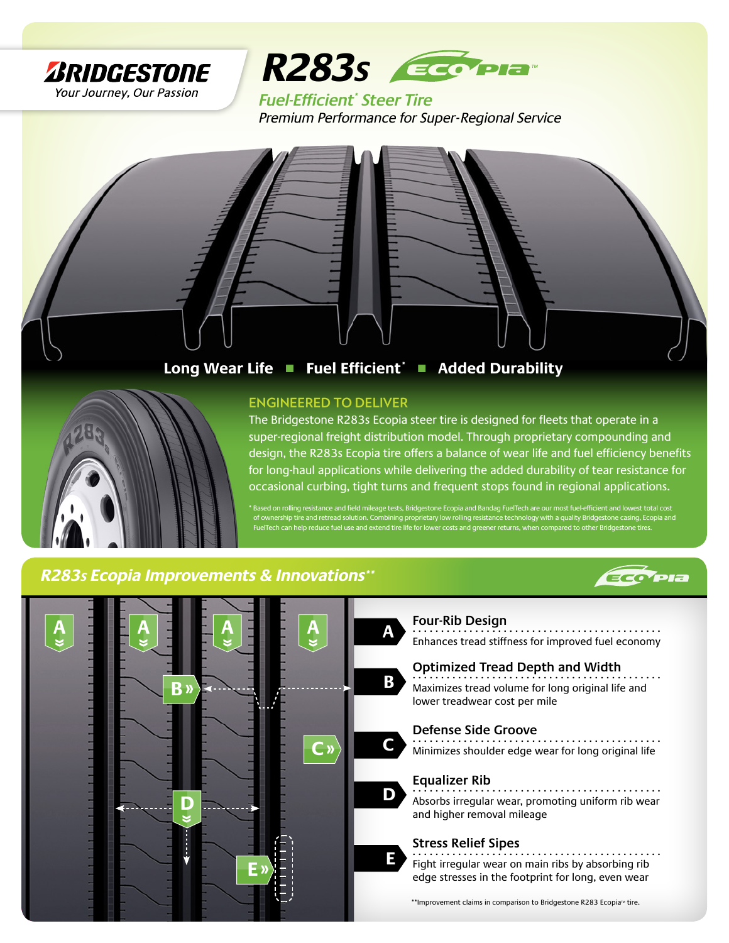



**Fuel-Efficient***\**  **Steer Tire** *Premium Performance for Super- Regional Service*



**Long Wear Life** ■ **Fuel Efficient\*** ■ **Added Durability**



### **ENGINEERED TO DELIVER**

The Bridgestone R283s Ecopia steer tire is designed for fleets that operate in a super-regional freight distribution model. Through proprietary compounding and design, the R283s Ecopia tire offers a balance of wear life and fuel efficiency benefits for long-haul applications while delivering the added durability of tear resistance for occasional curbing, tight turns and frequent stops found in regional applications.

stone Ecopia and Bandag FuelTech are our most fuel of ownership tire and retread solution. Combining proprietary low rolling resistance technology with a quality Bridgestone casing, Ecopia and p reduce fuel use and extend tire life for lower costs and greener returns, wh

## *R283s Ecopia Improvements & Innovations\*\**